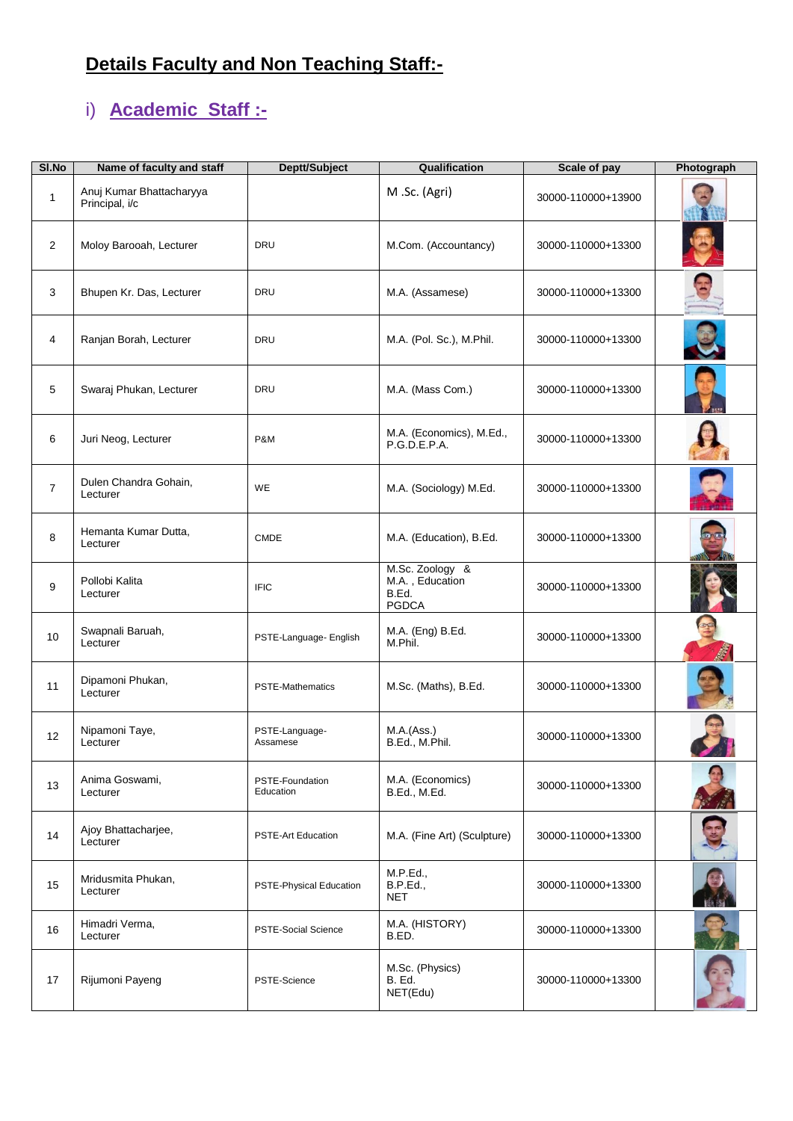# **Details Faculty and Non Teaching Staff:-**

# i) **Academic Staff :-**

| SI.No          | Name of faculty and staff                  | Deptt/Subject                | Qualification                                               | Scale of pay       | Photograph |
|----------------|--------------------------------------------|------------------------------|-------------------------------------------------------------|--------------------|------------|
| 1              | Anuj Kumar Bhattacharyya<br>Principal, i/c |                              | M .Sc. (Agri)                                               | 30000-110000+13900 |            |
| $\overline{2}$ | Moloy Barooah, Lecturer                    | <b>DRU</b>                   | M.Com. (Accountancy)                                        | 30000-110000+13300 |            |
| 3              | Bhupen Kr. Das, Lecturer                   | DRU                          | M.A. (Assamese)                                             | 30000-110000+13300 |            |
| 4              | Ranjan Borah, Lecturer                     | <b>DRU</b>                   | M.A. (Pol. Sc.), M.Phil.                                    | 30000-110000+13300 |            |
| 5              | Swaraj Phukan, Lecturer                    | <b>DRU</b>                   | M.A. (Mass Com.)                                            | 30000-110000+13300 |            |
| 6              | Juri Neog, Lecturer                        | P&M                          | M.A. (Economics), M.Ed.,<br>P.G.D.E.P.A.                    | 30000-110000+13300 |            |
| $\overline{7}$ | Dulen Chandra Gohain,<br>Lecturer          | <b>WE</b>                    | M.A. (Sociology) M.Ed.                                      | 30000-110000+13300 |            |
| 8              | Hemanta Kumar Dutta,<br>Lecturer           | <b>CMDE</b>                  | M.A. (Education), B.Ed.                                     | 30000-110000+13300 |            |
| 9              | Pollobi Kalita<br>Lecturer                 | <b>IFIC</b>                  | M.Sc. Zoology &<br>M.A., Education<br>B.Ed.<br><b>PGDCA</b> | 30000-110000+13300 |            |
| 10             | Swapnali Baruah,<br>Lecturer               | PSTE-Language- English       | M.A. (Eng) B.Ed.<br>M.Phil.                                 | 30000-110000+13300 |            |
| 11             | Dipamoni Phukan,<br>Lecturer               | <b>PSTE-Mathematics</b>      | M.Sc. (Maths), B.Ed.                                        | 30000-110000+13300 |            |
| 12             | Nipamoni Taye,<br>Lecturer                 | PSTE-Language-<br>Assamese   | M.A.(Ass.)<br>B.Ed., M.Phil.                                | 30000-110000+13300 |            |
| 13             | Anima Goswami,<br>Lecturer                 | PSTE-Foundation<br>Education | M.A. (Economics)<br>B.Ed., M.Ed.                            | 30000-110000+13300 |            |
| 14             | Ajoy Bhattacharjee,<br>Lecturer            | <b>PSTE-Art Education</b>    | M.A. (Fine Art) (Sculpture)                                 | 30000-110000+13300 |            |
| 15             | Mridusmita Phukan,<br>Lecturer             | PSTE-Physical Education      | M.P.Ed.,<br><b>B.P.Ed.,</b><br><b>NET</b>                   | 30000-110000+13300 |            |
| 16             | Himadri Verma,<br>Lecturer                 | <b>PSTE-Social Science</b>   | M.A. (HISTORY)<br>B.ED.                                     | 30000-110000+13300 |            |
| 17             | Rijumoni Payeng                            | PSTE-Science                 | M.Sc. (Physics)<br>B. Ed.<br>NET(Edu)                       | 30000-110000+13300 |            |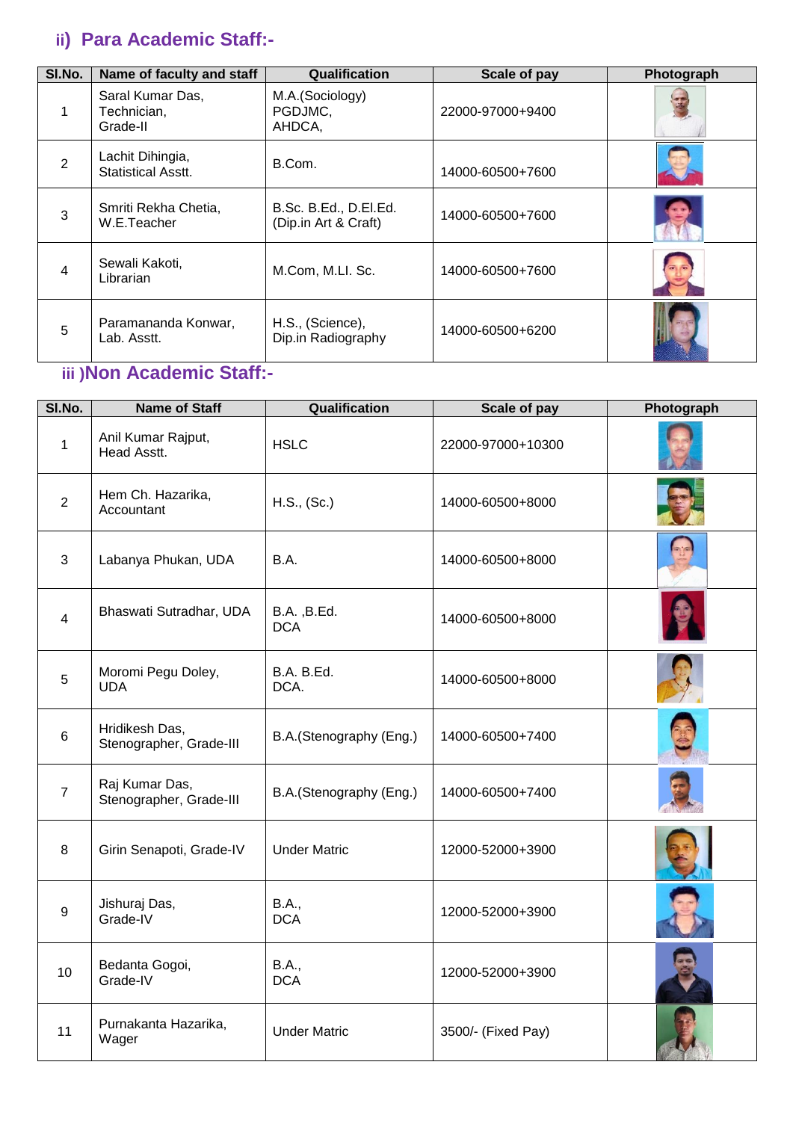### **ii) Para Academic Staff:-**

| SI.No. | Name of faculty and staff                     | <b>Qualification</b>                          | Scale of pay     | Photograph |
|--------|-----------------------------------------------|-----------------------------------------------|------------------|------------|
| 1      | Saral Kumar Das,<br>Technician,<br>Grade-II   | M.A.(Sociology)<br>PGDJMC,<br>AHDCA,          | 22000-97000+9400 |            |
| 2      | Lachit Dihingia,<br><b>Statistical Asstt.</b> | B.Com.                                        | 14000-60500+7600 |            |
| 3      | Smriti Rekha Chetia,<br>W.E.Teacher           | B.Sc. B.Ed., D.El.Ed.<br>(Dip.in Art & Craft) | 14000-60500+7600 |            |
| 4      | Sewali Kakoti,<br>Librarian                   | M.Com, M.LI. Sc.                              | 14000-60500+7600 |            |
| 5      | Paramananda Konwar,<br>Lab. Asstt.            | H.S., (Science),<br>Dip.in Radiography        | 14000-60500+6200 |            |

## **iii )Non Academic Staff:-**

| SI.No.                  | <b>Name of Staff</b>                      | Qualification              | Scale of pay       | Photograph |
|-------------------------|-------------------------------------------|----------------------------|--------------------|------------|
| 1                       | Anil Kumar Rajput,<br>Head Asstt.         | <b>HSLC</b>                | 22000-97000+10300  |            |
| $\overline{2}$          | Hem Ch. Hazarika,<br>Accountant           | H.S., (Sc.)                | 14000-60500+8000   |            |
| 3                       | Labanya Phukan, UDA                       | B.A.                       | 14000-60500+8000   |            |
| $\overline{\mathbf{4}}$ | Bhaswati Sutradhar, UDA                   | B.A., B.Ed.<br><b>DCA</b>  | 14000-60500+8000   |            |
| 5                       | Moromi Pegu Doley,<br><b>UDA</b>          | <b>B.A. B.Ed.</b><br>DCA.  | 14000-60500+8000   |            |
| 6                       | Hridikesh Das,<br>Stenographer, Grade-III | B.A.(Stenography (Eng.)    | 14000-60500+7400   |            |
| $\overline{7}$          | Raj Kumar Das,<br>Stenographer, Grade-III | B.A.(Stenography (Eng.)    | 14000-60500+7400   |            |
| 8                       | Girin Senapoti, Grade-IV                  | <b>Under Matric</b>        | 12000-52000+3900   |            |
| 9                       | Jishuraj Das,<br>Grade-IV                 | <b>B.A.,</b><br><b>DCA</b> | 12000-52000+3900   |            |
| 10                      | Bedanta Gogoi,<br>Grade-IV                | <b>B.A.,</b><br><b>DCA</b> | 12000-52000+3900   |            |
| 11                      | Purnakanta Hazarika,<br>Wager             | <b>Under Matric</b>        | 3500/- (Fixed Pay) |            |